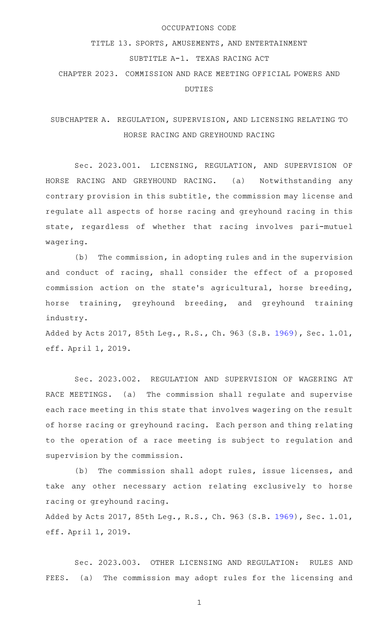#### OCCUPATIONS CODE

# TITLE 13. SPORTS, AMUSEMENTS, AND ENTERTAINMENT

### SUBTITLE A-1. TEXAS RACING ACT

CHAPTER 2023. COMMISSION AND RACE MEETING OFFICIAL POWERS AND DUTIES

## SUBCHAPTER A. REGULATION, SUPERVISION, AND LICENSING RELATING TO HORSE RACING AND GREYHOUND RACING

Sec. 2023.001. LICENSING, REGULATION, AND SUPERVISION OF HORSE RACING AND GREYHOUND RACING. (a) Notwithstanding any contrary provision in this subtitle, the commission may license and regulate all aspects of horse racing and greyhound racing in this state, regardless of whether that racing involves pari-mutuel wagering.

(b) The commission, in adopting rules and in the supervision and conduct of racing, shall consider the effect of a proposed commission action on the state 's agricultural, horse breeding, horse training, greyhound breeding, and greyhound training industry.

Added by Acts 2017, 85th Leg., R.S., Ch. 963 (S.B. [1969](http://www.legis.state.tx.us/tlodocs/85R/billtext/html/SB01969F.HTM)), Sec. 1.01, eff. April 1, 2019.

Sec. 2023.002. REGULATION AND SUPERVISION OF WAGERING AT RACE MEETINGS. (a) The commission shall regulate and supervise each race meeting in this state that involves wagering on the result of horse racing or greyhound racing. Each person and thing relating to the operation of a race meeting is subject to regulation and supervision by the commission.

(b) The commission shall adopt rules, issue licenses, and take any other necessary action relating exclusively to horse racing or greyhound racing.

Added by Acts 2017, 85th Leg., R.S., Ch. 963 (S.B. [1969](http://www.legis.state.tx.us/tlodocs/85R/billtext/html/SB01969F.HTM)), Sec. 1.01, eff. April 1, 2019.

Sec. 2023.003. OTHER LICENSING AND REGULATION: RULES AND FEES. (a) The commission may adopt rules for the licensing and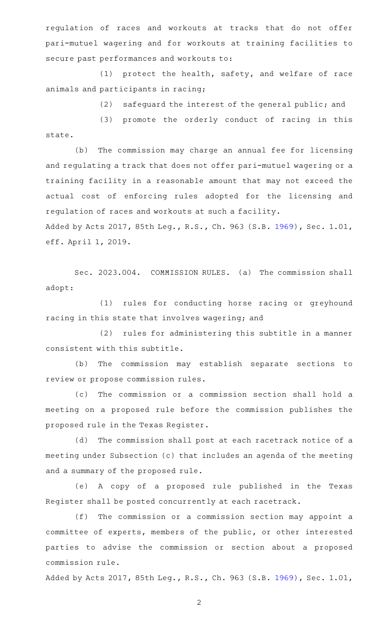regulation of races and workouts at tracks that do not offer pari-mutuel wagering and for workouts at training facilities to secure past performances and workouts to:

 $(1)$  protect the health, safety, and welfare of race animals and participants in racing;

(2) safeguard the interest of the general public; and

(3) promote the orderly conduct of racing in this state.

(b) The commission may charge an annual fee for licensing and regulating a track that does not offer pari-mutuel wagering or a training facility in a reasonable amount that may not exceed the actual cost of enforcing rules adopted for the licensing and regulation of races and workouts at such a facility.

Added by Acts 2017, 85th Leg., R.S., Ch. 963 (S.B. [1969](http://www.legis.state.tx.us/tlodocs/85R/billtext/html/SB01969F.HTM)), Sec. 1.01, eff. April 1, 2019.

Sec. 2023.004. COMMISSION RULES. (a) The commission shall adopt:

(1) rules for conducting horse racing or greyhound racing in this state that involves wagering; and

(2) rules for administering this subtitle in a manner consistent with this subtitle.

(b) The commission may establish separate sections to review or propose commission rules.

(c) The commission or a commission section shall hold a meeting on a proposed rule before the commission publishes the proposed rule in the Texas Register.

(d) The commission shall post at each racetrack notice of a meeting under Subsection (c) that includes an agenda of the meeting and a summary of the proposed rule.

(e)AAA copy of a proposed rule published in the Texas Register shall be posted concurrently at each racetrack.

(f) The commission or a commission section may appoint a committee of experts, members of the public, or other interested parties to advise the commission or section about a proposed commission rule.

Added by Acts 2017, 85th Leg., R.S., Ch. 963 (S.B. [1969](http://www.legis.state.tx.us/tlodocs/85R/billtext/html/SB01969F.HTM)), Sec. 1.01,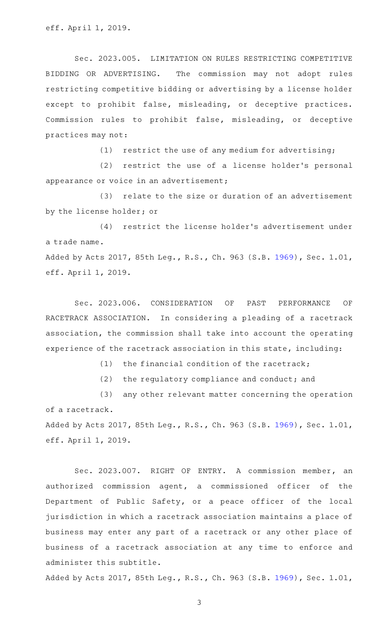Sec. 2023.005. LIMITATION ON RULES RESTRICTING COMPETITIVE BIDDING OR ADVERTISING. The commission may not adopt rules restricting competitive bidding or advertising by a license holder except to prohibit false, misleading, or deceptive practices. Commission rules to prohibit false, misleading, or deceptive practices may not:

 $(1)$  restrict the use of any medium for advertising;

(2) restrict the use of a license holder's personal appearance or voice in an advertisement;

(3) relate to the size or duration of an advertisement by the license holder; or

(4) restrict the license holder's advertisement under a trade name. Added by Acts 2017, 85th Leg., R.S., Ch. 963 (S.B. [1969](http://www.legis.state.tx.us/tlodocs/85R/billtext/html/SB01969F.HTM)), Sec. 1.01, eff. April 1, 2019.

Sec. 2023.006. CONSIDERATION OF PAST PERFORMANCE OF RACETRACK ASSOCIATION. In considering a pleading of a racetrack association, the commission shall take into account the operating experience of the racetrack association in this state, including:

(1) the financial condition of the racetrack;

(2) the regulatory compliance and conduct; and

(3) any other relevant matter concerning the operation of a racetrack.

Added by Acts 2017, 85th Leg., R.S., Ch. 963 (S.B. [1969](http://www.legis.state.tx.us/tlodocs/85R/billtext/html/SB01969F.HTM)), Sec. 1.01, eff. April 1, 2019.

Sec. 2023.007. RIGHT OF ENTRY. A commission member, an authorized commission agent, a commissioned officer of the Department of Public Safety, or a peace officer of the local jurisdiction in which a racetrack association maintains a place of business may enter any part of a racetrack or any other place of business of a racetrack association at any time to enforce and administer this subtitle.

Added by Acts 2017, 85th Leg., R.S., Ch. 963 (S.B. [1969](http://www.legis.state.tx.us/tlodocs/85R/billtext/html/SB01969F.HTM)), Sec. 1.01,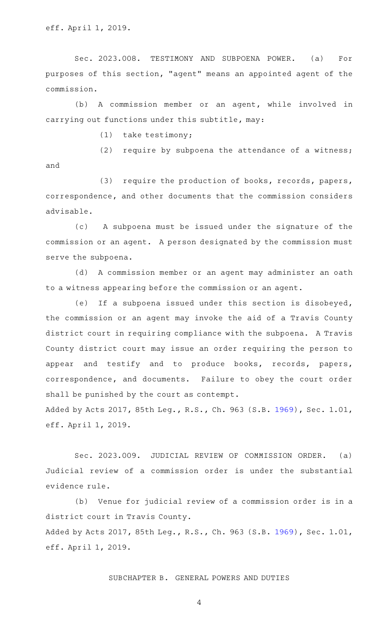Sec. 2023.008. TESTIMONY AND SUBPOENA POWER. (a) For purposes of this section, "agent" means an appointed agent of the commission.

(b) A commission member or an agent, while involved in carrying out functions under this subtitle, may:

 $(1)$  take testimony;

(2) require by subpoena the attendance of a witness; and

(3) require the production of books, records, papers, correspondence, and other documents that the commission considers advisable.

(c)AA A subpoena must be issued under the signature of the commission or an agent. A person designated by the commission must serve the subpoena.

(d) A commission member or an agent may administer an oath to a witness appearing before the commission or an agent.

(e) If a subpoena issued under this section is disobeyed, the commission or an agent may invoke the aid of a Travis County district court in requiring compliance with the subpoena. A Travis County district court may issue an order requiring the person to appear and testify and to produce books, records, papers, correspondence, and documents. Failure to obey the court order shall be punished by the court as contempt.

Added by Acts 2017, 85th Leg., R.S., Ch. 963 (S.B. [1969](http://www.legis.state.tx.us/tlodocs/85R/billtext/html/SB01969F.HTM)), Sec. 1.01, eff. April 1, 2019.

Sec. 2023.009. JUDICIAL REVIEW OF COMMISSION ORDER. (a) Judicial review of a commission order is under the substantial evidence rule.

(b) Venue for judicial review of a commission order is in a district court in Travis County. Added by Acts 2017, 85th Leg., R.S., Ch. 963 (S.B. [1969](http://www.legis.state.tx.us/tlodocs/85R/billtext/html/SB01969F.HTM)), Sec. 1.01, eff. April 1, 2019.

SUBCHAPTER B. GENERAL POWERS AND DUTIES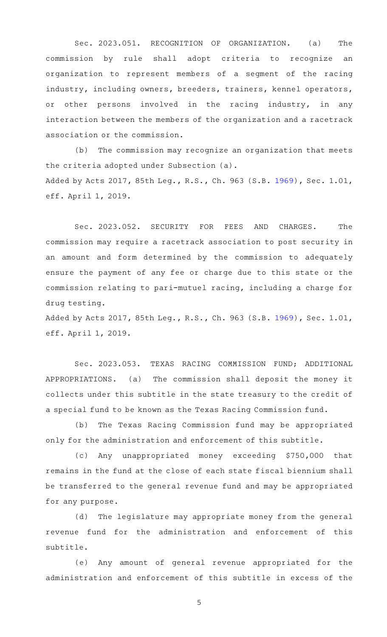Sec. 2023.051. RECOGNITION OF ORGANIZATION. (a) The commission by rule shall adopt criteria to recognize an organization to represent members of a segment of the racing industry, including owners, breeders, trainers, kennel operators, or other persons involved in the racing industry, in any interaction between the members of the organization and a racetrack association or the commission.

(b) The commission may recognize an organization that meets the criteria adopted under Subsection (a). Added by Acts 2017, 85th Leg., R.S., Ch. 963 (S.B. [1969](http://www.legis.state.tx.us/tlodocs/85R/billtext/html/SB01969F.HTM)), Sec. 1.01, eff. April 1, 2019.

Sec. 2023.052. SECURITY FOR FEES AND CHARGES. The commission may require a racetrack association to post security in an amount and form determined by the commission to adequately ensure the payment of any fee or charge due to this state or the commission relating to pari-mutuel racing, including a charge for drug testing.

Added by Acts 2017, 85th Leg., R.S., Ch. 963 (S.B. [1969](http://www.legis.state.tx.us/tlodocs/85R/billtext/html/SB01969F.HTM)), Sec. 1.01, eff. April 1, 2019.

Sec. 2023.053. TEXAS RACING COMMISSION FUND; ADDITIONAL APPROPRIATIONS. (a) The commission shall deposit the money it collects under this subtitle in the state treasury to the credit of a special fund to be known as the Texas Racing Commission fund.

(b) The Texas Racing Commission fund may be appropriated only for the administration and enforcement of this subtitle.

(c)AAAny unappropriated money exceeding \$750,000 that remains in the fund at the close of each state fiscal biennium shall be transferred to the general revenue fund and may be appropriated for any purpose.

(d) The legislature may appropriate money from the general revenue fund for the administration and enforcement of this subtitle.

(e) Any amount of general revenue appropriated for the administration and enforcement of this subtitle in excess of the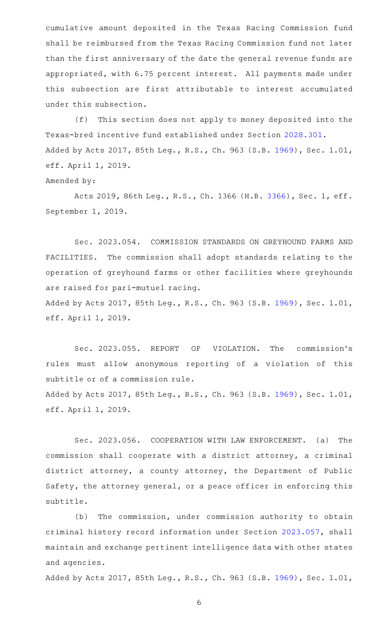cumulative amount deposited in the Texas Racing Commission fund shall be reimbursed from the Texas Racing Commission fund not later than the first anniversary of the date the general revenue funds are appropriated, with 6.75 percent interest. All payments made under this subsection are first attributable to interest accumulated under this subsection.

(f) This section does not apply to money deposited into the Texas-bred incentive fund established under Section [2028.301.](http://www.statutes.legis.state.tx.us/GetStatute.aspx?Code=OC&Value=2028.301) Added by Acts 2017, 85th Leg., R.S., Ch. 963 (S.B. [1969](http://www.legis.state.tx.us/tlodocs/85R/billtext/html/SB01969F.HTM)), Sec. 1.01, eff. April 1, 2019.

#### Amended by:

Acts 2019, 86th Leg., R.S., Ch. 1366 (H.B. [3366](http://www.legis.state.tx.us/tlodocs/86R/billtext/html/HB03366F.HTM)), Sec. 1, eff. September 1, 2019.

Sec. 2023.054. COMMISSION STANDARDS ON GREYHOUND FARMS AND FACILITIES. The commission shall adopt standards relating to the operation of greyhound farms or other facilities where greyhounds are raised for pari-mutuel racing.

Added by Acts 2017, 85th Leg., R.S., Ch. 963 (S.B. [1969](http://www.legis.state.tx.us/tlodocs/85R/billtext/html/SB01969F.HTM)), Sec. 1.01, eff. April 1, 2019.

Sec. 2023.055. REPORT OF VIOLATION. The commission's rules must allow anonymous reporting of a violation of this subtitle or of a commission rule. Added by Acts 2017, 85th Leg., R.S., Ch. 963 (S.B. [1969](http://www.legis.state.tx.us/tlodocs/85R/billtext/html/SB01969F.HTM)), Sec. 1.01, eff. April 1, 2019.

Sec. 2023.056. COOPERATION WITH LAW ENFORCEMENT. (a) The commission shall cooperate with a district attorney, a criminal district attorney, a county attorney, the Department of Public Safety, the attorney general, or a peace officer in enforcing this subtitle.

(b) The commission, under commission authority to obtain criminal history record information under Section [2023.057,](http://www.statutes.legis.state.tx.us/GetStatute.aspx?Code=OC&Value=2023.057) shall maintain and exchange pertinent intelligence data with other states and agencies.

Added by Acts 2017, 85th Leg., R.S., Ch. 963 (S.B. [1969](http://www.legis.state.tx.us/tlodocs/85R/billtext/html/SB01969F.HTM)), Sec. 1.01,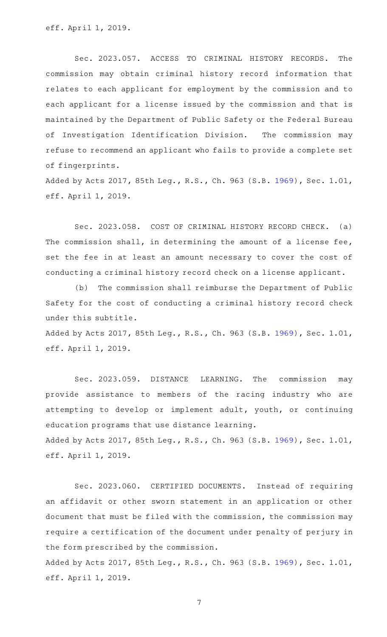Sec. 2023.057. ACCESS TO CRIMINAL HISTORY RECORDS. The commission may obtain criminal history record information that relates to each applicant for employment by the commission and to each applicant for a license issued by the commission and that is maintained by the Department of Public Safety or the Federal Bureau of Investigation Identification Division. The commission may refuse to recommend an applicant who fails to provide a complete set of fingerprints.

Added by Acts 2017, 85th Leg., R.S., Ch. 963 (S.B. [1969](http://www.legis.state.tx.us/tlodocs/85R/billtext/html/SB01969F.HTM)), Sec. 1.01, eff. April 1, 2019.

Sec. 2023.058. COST OF CRIMINAL HISTORY RECORD CHECK. (a) The commission shall, in determining the amount of a license fee, set the fee in at least an amount necessary to cover the cost of conducting a criminal history record check on a license applicant.

(b) The commission shall reimburse the Department of Public Safety for the cost of conducting a criminal history record check under this subtitle.

Added by Acts 2017, 85th Leg., R.S., Ch. 963 (S.B. [1969](http://www.legis.state.tx.us/tlodocs/85R/billtext/html/SB01969F.HTM)), Sec. 1.01, eff. April 1, 2019.

Sec. 2023.059. DISTANCE LEARNING. The commission may provide assistance to members of the racing industry who are attempting to develop or implement adult, youth, or continuing education programs that use distance learning. Added by Acts 2017, 85th Leg., R.S., Ch. 963 (S.B. [1969](http://www.legis.state.tx.us/tlodocs/85R/billtext/html/SB01969F.HTM)), Sec. 1.01, eff. April 1, 2019.

Sec. 2023.060. CERTIFIED DOCUMENTS. Instead of requiring an affidavit or other sworn statement in an application or other document that must be filed with the commission, the commission may require a certification of the document under penalty of perjury in the form prescribed by the commission.

Added by Acts 2017, 85th Leg., R.S., Ch. 963 (S.B. [1969](http://www.legis.state.tx.us/tlodocs/85R/billtext/html/SB01969F.HTM)), Sec. 1.01, eff. April 1, 2019.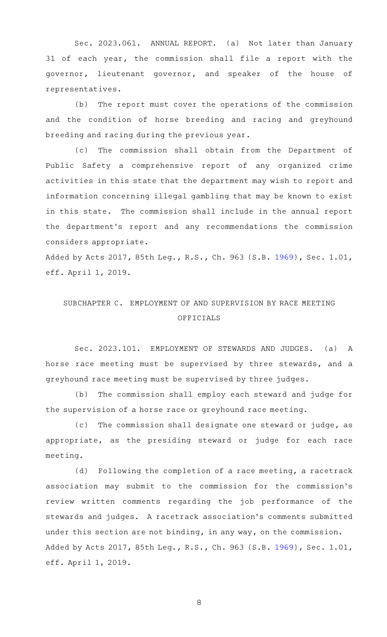Sec. 2023.061. ANNUAL REPORT. (a) Not later than January 31 of each year, the commission shall file a report with the governor, lieutenant governor, and speaker of the house of representatives.

(b) The report must cover the operations of the commission and the condition of horse breeding and racing and greyhound breeding and racing during the previous year.

(c) The commission shall obtain from the Department of Public Safety a comprehensive report of any organized crime activities in this state that the department may wish to report and information concerning illegal gambling that may be known to exist in this state. The commission shall include in the annual report the department 's report and any recommendations the commission considers appropriate.

Added by Acts 2017, 85th Leg., R.S., Ch. 963 (S.B. [1969](http://www.legis.state.tx.us/tlodocs/85R/billtext/html/SB01969F.HTM)), Sec. 1.01, eff. April 1, 2019.

## SUBCHAPTER C. EMPLOYMENT OF AND SUPERVISION BY RACE MEETING OFFICIALS

Sec. 2023.101. EMPLOYMENT OF STEWARDS AND JUDGES. (a) A horse race meeting must be supervised by three stewards, and a greyhound race meeting must be supervised by three judges.

(b) The commission shall employ each steward and judge for the supervision of a horse race or greyhound race meeting.

(c) The commission shall designate one steward or judge, as appropriate, as the presiding steward or judge for each race meeting.

(d) Following the completion of a race meeting, a racetrack association may submit to the commission for the commission 's review written comments regarding the job performance of the stewards and judges. A racetrack association 's comments submitted under this section are not binding, in any way, on the commission. Added by Acts 2017, 85th Leg., R.S., Ch. 963 (S.B. [1969](http://www.legis.state.tx.us/tlodocs/85R/billtext/html/SB01969F.HTM)), Sec. 1.01, eff. April 1, 2019.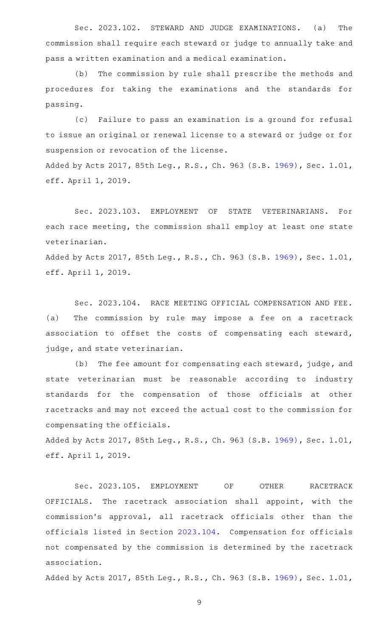Sec. 2023.102. STEWARD AND JUDGE EXAMINATIONS. (a) The commission shall require each steward or judge to annually take and pass a written examination and a medical examination.

(b) The commission by rule shall prescribe the methods and procedures for taking the examinations and the standards for passing.

(c) Failure to pass an examination is a ground for refusal to issue an original or renewal license to a steward or judge or for suspension or revocation of the license. Added by Acts 2017, 85th Leg., R.S., Ch. 963 (S.B. [1969](http://www.legis.state.tx.us/tlodocs/85R/billtext/html/SB01969F.HTM)), Sec. 1.01, eff. April 1, 2019.

Sec. 2023.103. EMPLOYMENT OF STATE VETERINARIANS. For each race meeting, the commission shall employ at least one state veterinarian.

Added by Acts 2017, 85th Leg., R.S., Ch. 963 (S.B. [1969](http://www.legis.state.tx.us/tlodocs/85R/billtext/html/SB01969F.HTM)), Sec. 1.01, eff. April 1, 2019.

Sec. 2023.104. RACE MEETING OFFICIAL COMPENSATION AND FEE. (a) The commission by rule may impose a fee on a racetrack association to offset the costs of compensating each steward, judge, and state veterinarian.

(b) The fee amount for compensating each steward, judge, and state veterinarian must be reasonable according to industry standards for the compensation of those officials at other racetracks and may not exceed the actual cost to the commission for compensating the officials.

Added by Acts 2017, 85th Leg., R.S., Ch. 963 (S.B. [1969](http://www.legis.state.tx.us/tlodocs/85R/billtext/html/SB01969F.HTM)), Sec. 1.01, eff. April 1, 2019.

Sec. 2023.105. EMPLOYMENT OF OTHER RACETRACK OFFICIALS. The racetrack association shall appoint, with the commission 's approval, all racetrack officials other than the officials listed in Section [2023.104](http://www.statutes.legis.state.tx.us/GetStatute.aspx?Code=OC&Value=2023.104). Compensation for officials not compensated by the commission is determined by the racetrack association.

Added by Acts 2017, 85th Leg., R.S., Ch. 963 (S.B. [1969](http://www.legis.state.tx.us/tlodocs/85R/billtext/html/SB01969F.HTM)), Sec. 1.01,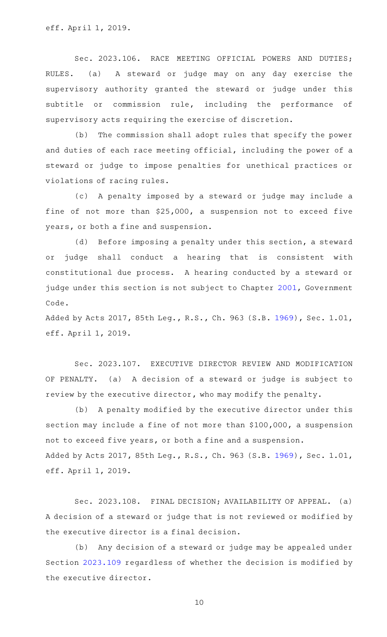Sec. 2023.106. RACE MEETING OFFICIAL POWERS AND DUTIES; RULES. (a) A steward or judge may on any day exercise the supervisory authority granted the steward or judge under this subtitle or commission rule, including the performance of supervisory acts requiring the exercise of discretion.

(b) The commission shall adopt rules that specify the power and duties of each race meeting official, including the power of a steward or judge to impose penalties for unethical practices or violations of racing rules.

(c) A penalty imposed by a steward or judge may include a fine of not more than \$25,000, a suspension not to exceed five years, or both a fine and suspension.

(d) Before imposing a penalty under this section, a steward or judge shall conduct a hearing that is consistent with constitutional due process. A hearing conducted by a steward or judge under this section is not subject to Chapter [2001](http://www.statutes.legis.state.tx.us/GetStatute.aspx?Code=GV&Value=2001), Government Code.

Added by Acts 2017, 85th Leg., R.S., Ch. 963 (S.B. [1969](http://www.legis.state.tx.us/tlodocs/85R/billtext/html/SB01969F.HTM)), Sec. 1.01, eff. April 1, 2019.

Sec. 2023.107. EXECUTIVE DIRECTOR REVIEW AND MODIFICATION OF PENALTY. (a) A decision of a steward or judge is subject to review by the executive director, who may modify the penalty.

(b) A penalty modified by the executive director under this section may include a fine of not more than \$100,000, a suspension not to exceed five years, or both a fine and a suspension. Added by Acts 2017, 85th Leg., R.S., Ch. 963 (S.B. [1969](http://www.legis.state.tx.us/tlodocs/85R/billtext/html/SB01969F.HTM)), Sec. 1.01, eff. April 1, 2019.

Sec. 2023.108. FINAL DECISION; AVAILABILITY OF APPEAL. (a) A decision of a steward or judge that is not reviewed or modified by the executive director is a final decision.

(b) Any decision of a steward or judge may be appealed under Section [2023.109](http://www.statutes.legis.state.tx.us/GetStatute.aspx?Code=OC&Value=2023.109) regardless of whether the decision is modified by the executive director.